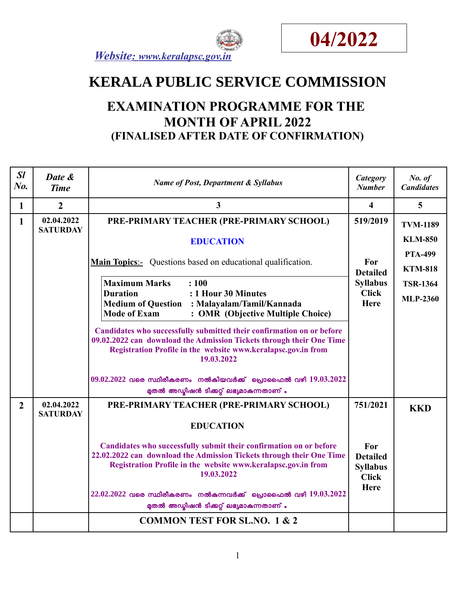



# **KERALA PUBLIC SERVICE COMMISSION**

# **EXAMINATION PROGRAMME FOR THE MONTH OF APRIL 2022 (FINALISED AFTER DATE OF CONFIRMATION)**

| SI<br>$N0$ .   | Date &<br><b>Time</b>         | <b>Name of Post, Department &amp; Syllabus</b>                                                                                                                                                                                                                                                | Category<br><b>Number</b>                                         | No. of<br><b>Candidates</b>       |
|----------------|-------------------------------|-----------------------------------------------------------------------------------------------------------------------------------------------------------------------------------------------------------------------------------------------------------------------------------------------|-------------------------------------------------------------------|-----------------------------------|
| $\mathbf{1}$   | $\overline{2}$                | 3                                                                                                                                                                                                                                                                                             | $\overline{\mathbf{4}}$                                           | 5                                 |
| 1              | 02.04.2022<br><b>SATURDAY</b> | PRE-PRIMARY TEACHER (PRE-PRIMARY SCHOOL)                                                                                                                                                                                                                                                      | 519/2019                                                          | <b>TVM-1189</b><br><b>KLM-850</b> |
|                |                               | <b>EDUCATION</b>                                                                                                                                                                                                                                                                              |                                                                   | <b>PTA-499</b>                    |
|                |                               | <b>Main Topics:-</b> Questions based on educational qualification.                                                                                                                                                                                                                            | For<br><b>Detailed</b>                                            | <b>KTM-818</b>                    |
|                |                               | <b>Maximum Marks</b><br>: 100                                                                                                                                                                                                                                                                 | <b>Syllabus</b>                                                   | <b>TSR-1364</b>                   |
|                |                               | : 1 Hour 30 Minutes<br><b>Duration</b><br>Medium of Question : Malayalam/Tamil/Kannada<br><b>Mode of Exam</b><br>: OMR (Objective Multiple Choice)                                                                                                                                            | <b>Click</b><br>Here                                              | <b>MLP-2360</b>                   |
|                |                               | Candidates who successfully submitted their confirmation on or before<br>09.02.2022 can download the Admission Tickets through their One Time<br>Registration Profile in the website www.keralapsc.gov.in from<br>19.03.2022                                                                  |                                                                   |                                   |
|                |                               | $09.02.2022$ വരെ സ്ഥിരീകരണം നൽകിയവർക്ക് പ്രൊഫൈൽ വഴി $19.03.2022$<br>മുതൽ അഡ്മിഷൻ ടിക്കറ്റ് ലഭ്യമാകുന്നതാണ് .                                                                                                                                                                                  |                                                                   |                                   |
| $\overline{2}$ | 02.04.2022<br><b>SATURDAY</b> | PRE-PRIMARY TEACHER (PRE-PRIMARY SCHOOL)                                                                                                                                                                                                                                                      | 751/2021                                                          | <b>KKD</b>                        |
|                |                               | <b>EDUCATION</b>                                                                                                                                                                                                                                                                              |                                                                   |                                   |
|                |                               | Candidates who successfully submit their confirmation on or before<br>22.02.2022 can download the Admission Tickets through their One Time<br>Registration Profile in the website www.keralapsc.gov.in from<br>19.03.2022<br>22.02.2022 വരെ സ്ഥിരീകരണം നൽകുന്നവർക്ക് പ്രൊഫൈൽ വഴി $19.03.2022$ | For<br><b>Detailed</b><br><b>Syllabus</b><br><b>Click</b><br>Here |                                   |
|                |                               | മുതൽ അഡ്മിഷൻ ടിക്കറ്റ് ലഭ്യമാകുന്നതാണ് .                                                                                                                                                                                                                                                      |                                                                   |                                   |
|                |                               | <b>COMMON TEST FOR SL.NO. 1 &amp; 2</b>                                                                                                                                                                                                                                                       |                                                                   |                                   |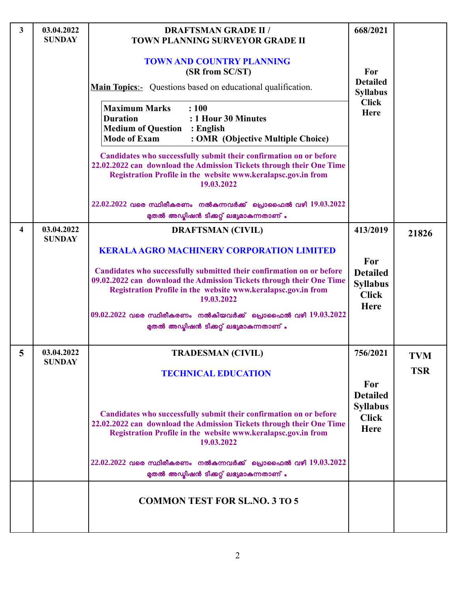| 3                       | 03.04.2022<br><b>SUNDAY</b> | <b>DRAFTSMAN GRADE II /</b><br><b>TOWN PLANNING SURVEYOR GRADE II</b>                                                                                                                                                                                                                                                                                | 668/2021                                                          |                          |
|-------------------------|-----------------------------|------------------------------------------------------------------------------------------------------------------------------------------------------------------------------------------------------------------------------------------------------------------------------------------------------------------------------------------------------|-------------------------------------------------------------------|--------------------------|
|                         |                             | <b>TOWN AND COUNTRY PLANNING</b><br>(SR from SC/ST)<br><b>Main Topics:</b> Questions based on educational qualification.                                                                                                                                                                                                                             | <b>For</b><br><b>Detailed</b><br><b>Syllabus</b>                  |                          |
|                         |                             | <b>Maximum Marks</b><br>: 100<br><b>Duration</b><br>: 1 Hour 30 Minutes<br><b>Medium of Question : English</b><br><b>Mode of Exam</b><br>: OMR (Objective Multiple Choice)                                                                                                                                                                           | <b>Click</b><br>Here                                              |                          |
|                         |                             | Candidates who successfully submit their confirmation on or before<br>22.02.2022 can download the Admission Tickets through their One Time<br>Registration Profile in the website www.keralapsc.gov.in from<br>19.03.2022                                                                                                                            |                                                                   |                          |
|                         |                             | 22.02.2022 വരെ സ്ഥിരീകരണം നൽകുന്നവർക്ക് പ്രൊഫൈൽ വഴി $19.03.2022$<br>മുതൽ അഡ്മിഷൻ ടിക്കറ്റ് ലഭ്യമാകുന്നതാണ് .                                                                                                                                                                                                                                         |                                                                   |                          |
| $\overline{\mathbf{4}}$ | 03.04.2022<br><b>SUNDAY</b> | <b>DRAFTSMAN (CIVIL)</b>                                                                                                                                                                                                                                                                                                                             | 413/2019                                                          | 21826                    |
|                         |                             | <b>KERALA AGRO MACHINERY CORPORATION LIMITED</b><br>Candidates who successfully submitted their confirmation on or before<br>09.02.2022 can download the Admission Tickets through their One Time<br>Registration Profile in the website www.keralapsc.gov.in from<br>19.03.2022<br>$09.02.2022$ വരെ സ്ഥിരീകരണം നൽകിയവർക്ക് പ്രൊഫൈൽ വഴി $19.03.2022$ | For<br><b>Detailed</b><br><b>Syllabus</b><br><b>Click</b><br>Here |                          |
|                         |                             | മുതൽ അഡ്ലിഷൻ ടിക്കറ്റ് ലഭ്യമാകുന്നതാണ് .                                                                                                                                                                                                                                                                                                             |                                                                   |                          |
|                         | 03.04.2022<br><b>SUNDAY</b> | <b>TRADESMAN (CIVIL)</b><br><b>TECHNICAL EDUCATION</b>                                                                                                                                                                                                                                                                                               | 756/2021<br>For                                                   | <b>TVM</b><br><b>TSR</b> |
|                         |                             | Candidates who successfully submit their confirmation on or before<br>22.02.2022 can download the Admission Tickets through their One Time<br>Registration Profile in the website www.keralapsc.gov.in from<br>19.03.2022                                                                                                                            | <b>Detailed</b><br><b>Syllabus</b><br><b>Click</b><br><b>Here</b> |                          |
|                         |                             | 22.02.2022 വരെ സ്ഥിരീകരണം നൽകുന്നവർക്ക് പ്രൊഫൈൽ വഴി $19.03.2022$<br>മുതൽ അഡ്മിഷൻ ടിക്കറ്റ് ലഭ്യമാകുന്നതാണ് .                                                                                                                                                                                                                                         |                                                                   |                          |
|                         |                             | <b>COMMON TEST FOR SL.NO. 3 TO 5</b>                                                                                                                                                                                                                                                                                                                 |                                                                   |                          |
|                         |                             |                                                                                                                                                                                                                                                                                                                                                      |                                                                   |                          |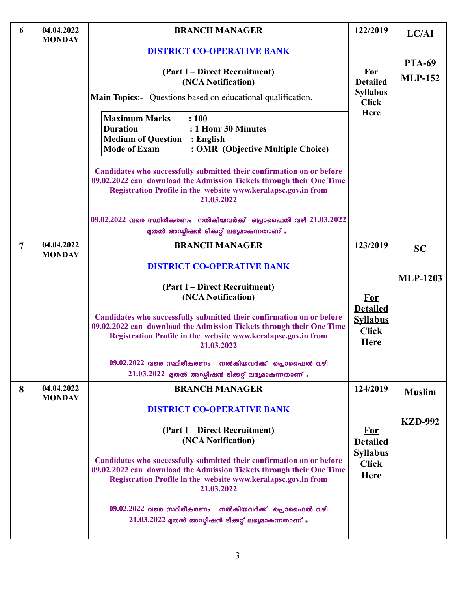| 6              | 04.04.2022                  | <b>BRANCH MANAGER</b>                                                                                                                                                                                                        | 122/2019                                       | LC/AI           |
|----------------|-----------------------------|------------------------------------------------------------------------------------------------------------------------------------------------------------------------------------------------------------------------------|------------------------------------------------|-----------------|
|                | <b>MONDAY</b>               | <b>DISTRICT CO-OPERATIVE BANK</b>                                                                                                                                                                                            |                                                |                 |
|                |                             |                                                                                                                                                                                                                              |                                                | <b>PTA-69</b>   |
|                |                             | (Part I – Direct Recruitment)<br>(NCA Notification)                                                                                                                                                                          | For<br><b>Detailed</b>                         | <b>MLP-152</b>  |
|                |                             | <b>Main Topics:-</b> Questions based on educational qualification.                                                                                                                                                           | <b>Syllabus</b><br><b>Click</b>                |                 |
|                |                             | <b>Maximum Marks</b><br>: 100<br><b>Duration</b><br>: 1 Hour 30 Minutes<br><b>Medium of Question</b><br>$:$ English<br><b>Mode of Exam</b><br>: OMR (Objective Multiple Choice)                                              | <b>Here</b>                                    |                 |
|                |                             | Candidates who successfully submitted their confirmation on or before<br>09.02.2022 can download the Admission Tickets through their One Time<br>Registration Profile in the website www.keralapsc.gov.in from<br>21.03.2022 |                                                |                 |
|                |                             | $09.02.2022$ വരെ സ്ഥിരീകരണം നൽകിയവർക്ക് പ്രൊഫൈൽ വഴി $21.03.2022$<br>മുതൽ അഡ്മിഷൻ ടിക്കറ്റ് ലഭ്യമാകുന്നതാണ് .                                                                                                                 |                                                |                 |
| $\overline{7}$ | 04.04.2022<br><b>MONDAY</b> | <b>BRANCH MANAGER</b>                                                                                                                                                                                                        | 123/2019                                       | $SC$            |
|                |                             | <b>DISTRICT CO-OPERATIVE BANK</b>                                                                                                                                                                                            |                                                | <b>MLP-1203</b> |
|                |                             | (Part I – Direct Recruitment)                                                                                                                                                                                                |                                                |                 |
|                |                             | (NCA Notification)                                                                                                                                                                                                           | <u>For</u><br><b>Detailed</b>                  |                 |
|                |                             | Candidates who successfully submitted their confirmation on or before<br>09.02.2022 can download the Admission Tickets through their One Time<br>Registration Profile in the website www.keralapsc.gov.in from<br>21.03.2022 | <b>Syllabus</b><br><b>Click</b><br><b>Here</b> |                 |
|                |                             | $09.02.2022$ വരെ സ്ഥിരീകരണം നൽകിയവർക്ക് പ്രൊഫൈൽ വഴി                                                                                                                                                                          |                                                |                 |
|                |                             | $21.03.2022$ മുതൽ അഡ്മിഷൻ ടിക്കറ്റ് ലഭ്യമാകുന്നതാണ് .                                                                                                                                                                        |                                                |                 |
| 8              | 04.04.2022<br><b>MONDAY</b> | <b>BRANCH MANAGER</b>                                                                                                                                                                                                        | 124/2019                                       | <b>Muslim</b>   |
|                |                             | <b>DISTRICT CO-OPERATIVE BANK</b>                                                                                                                                                                                            |                                                |                 |
|                |                             | (Part I – Direct Recruitment)<br>(NCA Notification)                                                                                                                                                                          | <u>For</u><br><b>Detailed</b>                  | <b>KZD-992</b>  |
|                |                             | Candidates who successfully submitted their confirmation on or before<br>09.02.2022 can download the Admission Tickets through their One Time<br>Registration Profile in the website www.keralapsc.gov.in from<br>21.03.2022 | <b>Syllabus</b><br><b>Click</b><br><b>Here</b> |                 |
|                |                             | $09.02.2022$ വരെ സ്ഥിരീകരണം നൽകിയവർക്ക് പ്രൊഫൈൽ വഴി<br>$21.03.2022$ മുതൽ അഡ്യിഷൻ ടിക്കറ്റ് ലഭ്യമാകുന്നതാണ് .                                                                                                                 |                                                |                 |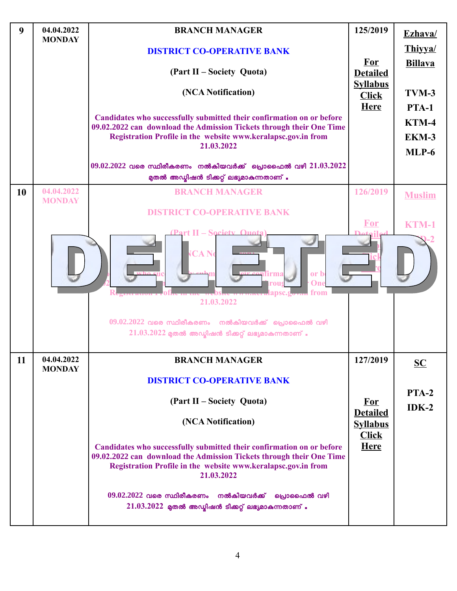| $\boldsymbol{9}$ | 04.04.2022<br><b>MONDAY</b> | <b>BRANCH MANAGER</b>                                                                                                                                                                                                        | 125/2019                        | Ezhava/                                   |
|------------------|-----------------------------|------------------------------------------------------------------------------------------------------------------------------------------------------------------------------------------------------------------------------|---------------------------------|-------------------------------------------|
|                  |                             | <b>DISTRICT CO-OPERATIVE BANK</b>                                                                                                                                                                                            |                                 | Thiyya/                                   |
|                  |                             | (Part II – Society Quota)                                                                                                                                                                                                    | <b>For</b><br><b>Detailed</b>   | <b>Billava</b>                            |
|                  |                             | (NCA Notification)                                                                                                                                                                                                           | <b>Syllabus</b><br><b>Click</b> | TVM-3                                     |
|                  |                             | Candidates who successfully submitted their confirmation on or before<br>09.02.2022 can download the Admission Tickets through their One Time<br>Registration Profile in the website www.keralapsc.gov.in from<br>21.03.2022 | <b>Here</b>                     | <b>PTA-1</b><br>$KTM-4$<br>EKM-3<br>MLP-6 |
|                  |                             | $09.02.2022$ വരെ സ്ഥിരീകരണം നൽകിയവർക്ക് പ്രൊഫൈൽ വഴി $21.03.2022$<br>മുതൽ അഡ്മിഷൻ ടിക്കറ്റ് ലഭ്യമാകുന്നതാണ് .                                                                                                                 |                                 |                                           |
| 10               | 04.04.2022<br><b>MONDAY</b> | <b>BRANCH MANAGER</b>                                                                                                                                                                                                        | 126/2019                        | <b>Muslim</b>                             |
|                  |                             | <b>DISTRICT CO-OPERATIVE BANK</b><br>11 – Societ                                                                                                                                                                             | <b>For</b>                      | <b>KTM-1</b>                              |
|                  |                             | <b>ICA No</b><br>or b<br><u>confirm</u><br>One<br>rou<br>v <sub>out</sub> from<br>.1 alapsc.20<br>21.03.2022                                                                                                                 |                                 |                                           |
|                  |                             | $09.02.2022$ വരെ സ്ഥിരീകരണം നൽകിയവർക്ക് പ്രൊഫൈൽ വഴി<br>$21.03.2022$ മുതൽ അഡ്യിഷൻ ടിക്കറ്റ് ലഭ്യമാകുന്നതാണ് .                                                                                                                 |                                 |                                           |
| 11               | 04.04.2022<br><b>MONDAY</b> | <b>BRANCH MANAGER</b>                                                                                                                                                                                                        | 127/2019                        | $\underline{\mathbf{SC}}$                 |
|                  |                             | <b>DISTRICT CO-OPERATIVE BANK</b>                                                                                                                                                                                            |                                 |                                           |
|                  |                             | (Part II – Society Quota)                                                                                                                                                                                                    | <b>For</b><br><b>Detailed</b>   | <b>PTA-2</b><br>$IDK-2$                   |
|                  |                             | (NCA Notification)                                                                                                                                                                                                           | <b>Syllabus</b><br><b>Click</b> |                                           |
|                  |                             | Candidates who successfully submitted their confirmation on or before<br>09.02.2022 can download the Admission Tickets through their One Time<br>Registration Profile in the website www.keralapsc.gov.in from<br>21.03.2022 | <b>Here</b>                     |                                           |
|                  |                             | $09.02.2022$ വരെ സ്ഥിരീകരണം നൽകിയവർക്ക് പ്രൊഫൈൽ വഴി<br>$21.03.2022$ മുതൽ അഡ്യിഷൻ ടിക്കറ്റ് ലഭ്യമാകുന്നതാണ്.                                                                                                                  |                                 |                                           |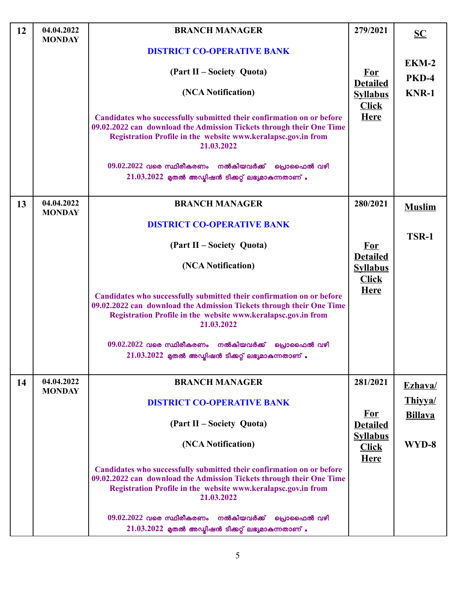| <b>12</b> | 04.04.2022<br><b>MONDAY</b> | <b>BRANCH MANAGER</b>                                                                                                                                                                                                        | 279/2021                                           | $SC$           |
|-----------|-----------------------------|------------------------------------------------------------------------------------------------------------------------------------------------------------------------------------------------------------------------------|----------------------------------------------------|----------------|
|           |                             | <b>DISTRICT CO-OPERATIVE BANK</b>                                                                                                                                                                                            |                                                    |                |
|           |                             | (Part II – Society Quota)                                                                                                                                                                                                    | <b>For</b>                                         | EKM-2<br>PKD-4 |
|           |                             | (NCA Notification)                                                                                                                                                                                                           | <b>Detailed</b><br><b>Syllabus</b><br><b>Click</b> | <b>KNR-1</b>   |
|           |                             | Candidates who successfully submitted their confirmation on or before<br>09.02.2022 can download the Admission Tickets through their One Time<br>Registration Profile in the website www.keralapsc.gov.in from<br>21.03.2022 | <b>Here</b>                                        |                |
|           |                             | $09.02.2022$ വരെ സ്ഥിരീകരണം നൽകിയവർക്ക് പ്രൊഫൈൽ വഴി                                                                                                                                                                          |                                                    |                |
|           |                             | $21.03.2022$ മുതൽ അഡ്ബിഷൻ ടിക്കറ്റ് ലഭ്യമാകുന്നതാണ് .                                                                                                                                                                        |                                                    |                |
| 13        | 04.04.2022<br><b>MONDAY</b> | <b>BRANCH MANAGER</b>                                                                                                                                                                                                        | 280/2021                                           | <b>Muslim</b>  |
|           |                             | <b>DISTRICT CO-OPERATIVE BANK</b>                                                                                                                                                                                            |                                                    |                |
|           |                             | (Part II – Society Quota)                                                                                                                                                                                                    | <b>For</b>                                         | TSR-1          |
|           |                             | (NCA Notification)                                                                                                                                                                                                           | <b>Detailed</b><br><b>Syllabus</b><br><b>Click</b> |                |
|           |                             | Candidates who successfully submitted their confirmation on or before<br>09.02.2022 can download the Admission Tickets through their One Time<br>Registration Profile in the website www.keralapsc.gov.in from<br>21.03.2022 | <b>Here</b>                                        |                |
|           |                             | $09.02.2022$ വരെ സ്ഥിരീകരണം നൽകിയവർക്ക് പ്രൊഫൈൽ വഴി<br>$21.03.2022$ മുതൽ അഡ്യിഷൻ ടിക്കറ്റ് ലഭ്യമാകുന്നതാണ് .                                                                                                                 |                                                    |                |
| 14        | 04.04.2022<br><b>MONDAY</b> | <b>BRANCH MANAGER</b>                                                                                                                                                                                                        | 281/2021                                           | Ezhava/        |
|           |                             | <b>DISTRICT CO-OPERATIVE BANK</b>                                                                                                                                                                                            |                                                    | Thiyya/        |
|           |                             | (Part II – Society Quota)                                                                                                                                                                                                    | <b>For</b><br><b>Detailed</b>                      | <b>Billava</b> |
|           |                             | (NCA Notification)                                                                                                                                                                                                           | <b>Syllabus</b><br><b>Click</b><br><b>Here</b>     | WYD-8          |
|           |                             | Candidates who successfully submitted their confirmation on or before<br>09.02.2022 can download the Admission Tickets through their One Time<br>Registration Profile in the website www.keralapsc.gov.in from<br>21.03.2022 |                                                    |                |
|           |                             | നൽകിയവർക്ക്<br>$09.02.2022$ വരെ സ്ഥിരീകരണം<br>പ്രൊഫൈൽ വഴി<br>$21.03.2022$ മുതൽ അഡ്യിഷൻ ടിക്കറ്റ് ലഭ്യമാകുന്നതാണ് .                                                                                                           |                                                    |                |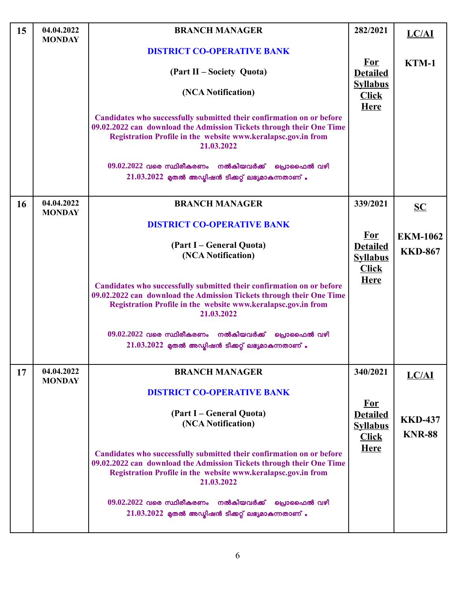| 15        | 04.04.2022<br><b>MONDAY</b> | <b>BRANCH MANAGER</b>                                                                                                                                                                                                        | 282/2021                                       | <b>LC/AI</b>    |
|-----------|-----------------------------|------------------------------------------------------------------------------------------------------------------------------------------------------------------------------------------------------------------------------|------------------------------------------------|-----------------|
|           |                             | <b>DISTRICT CO-OPERATIVE BANK</b>                                                                                                                                                                                            |                                                |                 |
|           |                             | (Part II – Society Quota)                                                                                                                                                                                                    | <u>For</u><br><b>Detailed</b>                  | KTM-1           |
|           |                             | (NCA Notification)                                                                                                                                                                                                           | <b>Syllabus</b><br><b>Click</b><br><b>Here</b> |                 |
|           |                             | Candidates who successfully submitted their confirmation on or before<br>09.02.2022 can download the Admission Tickets through their One Time<br>Registration Profile in the website www.keralapsc.gov.in from<br>21.03.2022 |                                                |                 |
|           |                             | $09.02.2022$ വരെ സ്ഥിരീകരണം നൽകിയവർക്ക് പ്രൊഫൈൽ വഴി<br>$21.03.2022$ മുതൽ അഡ്യിഷൻ ടിക്കറ്റ് ലഭ്യമാകുന്നതാണ് .                                                                                                                 |                                                |                 |
| <b>16</b> | 04.04.2022<br><b>MONDAY</b> | <b>BRANCH MANAGER</b>                                                                                                                                                                                                        | 339/2021                                       | SC              |
|           |                             | <b>DISTRICT CO-OPERATIVE BANK</b>                                                                                                                                                                                            |                                                |                 |
|           |                             |                                                                                                                                                                                                                              | <u>For</u>                                     | <b>EKM-1062</b> |
|           |                             | (Part I – General Quota)<br>(NCA Notification)                                                                                                                                                                               | <b>Detailed</b>                                | <b>KKD-867</b>  |
|           |                             |                                                                                                                                                                                                                              | <b>Syllabus</b><br><b>Click</b>                |                 |
|           |                             | Candidates who successfully submitted their confirmation on or before<br>09.02.2022 can download the Admission Tickets through their One Time<br>Registration Profile in the website www.keralapsc.gov.in from<br>21.03.2022 | <b>Here</b>                                    |                 |
|           |                             | $09.02.2022$ വരെ സ്ഥിരീകരണം നൽകിയവർക്ക് പ്രൊഫൈൽ വഴി                                                                                                                                                                          |                                                |                 |
|           |                             | $21.03.2022$ മുതൽ അഡ്ബിഷൻ ടിക്കറ്റ് ലഭ്യമാകുന്നതാണ് .                                                                                                                                                                        |                                                |                 |
|           |                             |                                                                                                                                                                                                                              |                                                |                 |
| 17        | 04.04.2022<br><b>MONDAY</b> | <b>BRANCH MANAGER</b>                                                                                                                                                                                                        | 340/2021                                       | LC/AI           |
|           |                             | <b>DISTRICT CO-OPERATIVE BANK</b>                                                                                                                                                                                            |                                                |                 |
|           |                             |                                                                                                                                                                                                                              | <u>For</u>                                     |                 |
|           |                             | (Part I – General Quota)<br>(NCA Notification)                                                                                                                                                                               | <b>Detailed</b>                                | <b>KKD-437</b>  |
|           |                             |                                                                                                                                                                                                                              | <b>Syllabus</b>                                | <b>KNR-88</b>   |
|           |                             |                                                                                                                                                                                                                              | <b>Click</b><br><b>Here</b>                    |                 |
|           |                             | Candidates who successfully submitted their confirmation on or before<br>09.02.2022 can download the Admission Tickets through their One Time<br>Registration Profile in the website www.keralapsc.gov.in from<br>21.03.2022 |                                                |                 |
|           |                             | $09.02.2022$ വരെ സ്ഥിരീകരണം നൽകിയവർക്ക് പ്രൊഫൈൽ വഴി<br>$21.03.2022$ മുതൽ അഡ്യിഷൻ ടിക്കറ്റ് ലഭ്യമാകുന്നതാണ് .                                                                                                                 |                                                |                 |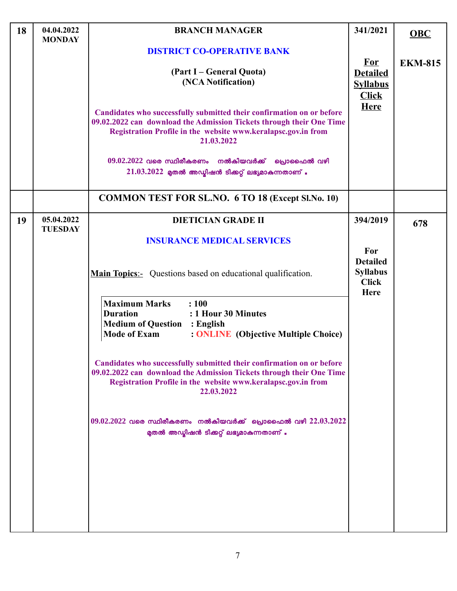| 18 | 04.04.2022<br><b>MONDAY</b>  | <b>BRANCH MANAGER</b>                                                                                                                                                                                                        | 341/2021                                                         | <b>OBC</b>     |
|----|------------------------------|------------------------------------------------------------------------------------------------------------------------------------------------------------------------------------------------------------------------------|------------------------------------------------------------------|----------------|
|    |                              | <b>DISTRICT CO-OPERATIVE BANK</b>                                                                                                                                                                                            |                                                                  |                |
|    |                              | (Part I – General Quota)<br>(NCA Notification)                                                                                                                                                                               | <b>For</b><br><b>Detailed</b><br><b>Syllabus</b><br><b>Click</b> | <b>EKM-815</b> |
|    |                              | Candidates who successfully submitted their confirmation on or before<br>09.02.2022 can download the Admission Tickets through their One Time<br>Registration Profile in the website www.keralapsc.gov.in from<br>21.03.2022 | <b>Here</b>                                                      |                |
|    |                              | $09.02.2022$ വരെ സ്ഥിരീകരണം നൽകിയവർക്ക് പ്രൊഫൈൽ വഴി<br>$21.03.2022$ മുതൽ അഡ്യിഷൻ ടിക്കറ്റ് ലഭ്യമാകുന്നതാണ് .                                                                                                                 |                                                                  |                |
|    |                              | <b>COMMON TEST FOR SL.NO. 6 TO 18 (Except Sl.No. 10)</b>                                                                                                                                                                     |                                                                  |                |
| 19 | 05.04.2022<br><b>TUESDAY</b> | <b>DIETICIAN GRADE II</b>                                                                                                                                                                                                    | 394/2019                                                         | 678            |
|    |                              | <b>INSURANCE MEDICAL SERVICES</b>                                                                                                                                                                                            | For                                                              |                |
|    |                              | <b>Main Topics:-</b> Questions based on educational qualification.                                                                                                                                                           | <b>Detailed</b><br><b>Syllabus</b><br><b>Click</b><br>Here       |                |
|    |                              | <b>Maximum Marks</b><br>: 100<br><b>Duration</b><br>: 1 Hour 30 Minutes<br><b>Medium of Question : English</b><br><b>Mode of Exam</b><br>: <b>ONLINE</b> (Objective Multiple Choice)                                         |                                                                  |                |
|    |                              | Candidates who successfully submitted their confirmation on or before<br>09.02.2022 can download the Admission Tickets through their One Time<br>Registration Profile in the website www.keralapsc.gov.in from<br>22.03.2022 |                                                                  |                |
|    |                              | $09.02.2022$ വരെ സ്ഥിരീകരണം നൽകിയവർക്ക് പ്രൊഫൈൽ വഴി $22.03.2022$<br>മുതൽ അഡ്മിഷൻ ടിക്കറ്റ് ലഭ്യമാകുന്നതാണ് .                                                                                                                 |                                                                  |                |
|    |                              |                                                                                                                                                                                                                              |                                                                  |                |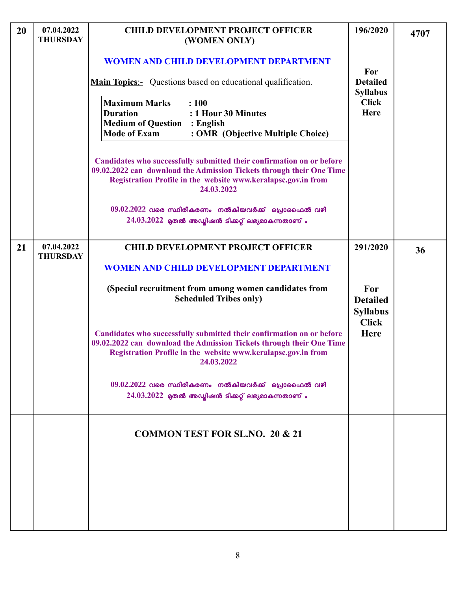| 20 | 07.04.2022<br><b>THURSDAY</b> | <b>CHILD DEVELOPMENT PROJECT OFFICER</b><br>(WOMEN ONLY)                                                                                                                                                                     | 196/2020                                                                 | 4707 |
|----|-------------------------------|------------------------------------------------------------------------------------------------------------------------------------------------------------------------------------------------------------------------------|--------------------------------------------------------------------------|------|
|    |                               | <b>WOMEN AND CHILD DEVELOPMENT DEPARTMENT</b>                                                                                                                                                                                | For                                                                      |      |
|    |                               | <b>Main Topics</b> : Questions based on educational qualification.                                                                                                                                                           | <b>Detailed</b><br><b>Syllabus</b>                                       |      |
|    |                               | <b>Maximum Marks</b><br>: 100<br><b>Duration</b><br>: 1 Hour 30 Minutes<br><b>Medium of Question</b><br>: English<br><b>Mode of Exam</b><br>: OMR (Objective Multiple Choice)                                                | <b>Click</b><br><b>Here</b>                                              |      |
|    |                               | Candidates who successfully submitted their confirmation on or before<br>09.02.2022 can download the Admission Tickets through their One Time<br>Registration Profile in the website www.keralapsc.gov.in from<br>24.03.2022 |                                                                          |      |
|    |                               | $09.02.2022$ വരെ സ്ഥിരീകരണം നൽകിയവർക്ക് പ്രൊഫൈൽ വഴി<br>$24.03.2022$ മുതൽ അഡ്യിഷൻ ടിക്കറ്റ് ലഭ്യമാകുന്നതാണ് .                                                                                                                 |                                                                          |      |
| 21 | 07.04.2022<br><b>THURSDAY</b> | <b>CHILD DEVELOPMENT PROJECT OFFICER</b>                                                                                                                                                                                     | 291/2020                                                                 | 36   |
|    |                               | <b>WOMEN AND CHILD DEVELOPMENT DEPARTMENT</b>                                                                                                                                                                                |                                                                          |      |
|    |                               | (Special recruitment from among women candidates from<br><b>Scheduled Tribes only)</b>                                                                                                                                       | For<br><b>Detailed</b><br><b>Syllabus</b><br><b>Click</b><br><b>Here</b> |      |
|    |                               | Candidates who successfully submitted their confirmation on or before<br>09.02.2022 can download the Admission Tickets through their One Time<br>Registration Profile in the website www.keralapsc.gov.in from<br>24.03.2022 |                                                                          |      |
|    |                               | $09.02.2022$ വരെ സ്ഥിരീകരണം നൽകിയവർക്ക് പ്രൊഫൈൽ വഴി<br>$24.03.2022$ മുതൽ അഡ്യിഷൻ ടിക്കറ്റ് ലഭ്യമാകുന്നതാണ് .                                                                                                                 |                                                                          |      |
|    |                               | <b>COMMON TEST FOR SL.NO. 20 &amp; 21</b>                                                                                                                                                                                    |                                                                          |      |
|    |                               |                                                                                                                                                                                                                              |                                                                          |      |
|    |                               |                                                                                                                                                                                                                              |                                                                          |      |
|    |                               |                                                                                                                                                                                                                              |                                                                          |      |
|    |                               |                                                                                                                                                                                                                              |                                                                          |      |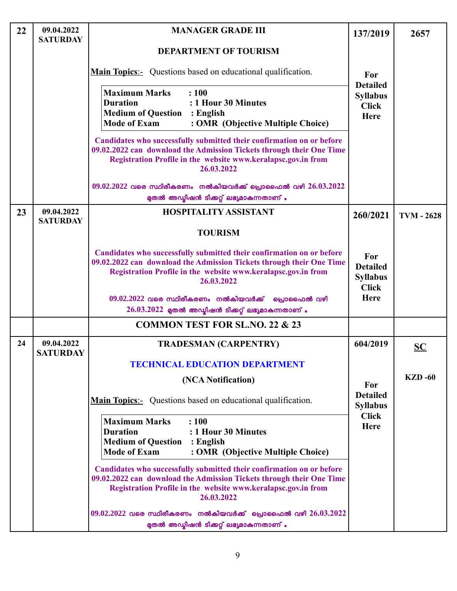| 22 | 09.04.2022<br><b>SATURDAY</b> | <b>MANAGER GRADE III</b>                                                                                                                                                                                                     | 137/2019                                                          | 2657              |
|----|-------------------------------|------------------------------------------------------------------------------------------------------------------------------------------------------------------------------------------------------------------------------|-------------------------------------------------------------------|-------------------|
|    |                               | <b>DEPARTMENT OF TOURISM</b>                                                                                                                                                                                                 |                                                                   |                   |
|    |                               | <b>Main Topics:-</b> Questions based on educational qualification.                                                                                                                                                           | For                                                               |                   |
|    |                               | <b>Maximum Marks</b><br>: 100<br><b>Duration</b><br>: 1 Hour 30 Minutes<br><b>Medium of Question : English</b><br><b>Mode of Exam</b><br>: OMR (Objective Multiple Choice)                                                   | <b>Detailed</b><br><b>Syllabus</b><br><b>Click</b><br><b>Here</b> |                   |
|    |                               | Candidates who successfully submitted their confirmation on or before<br>09.02.2022 can download the Admission Tickets through their One Time<br>Registration Profile in the website www.keralapsc.gov.in from<br>26.03.2022 |                                                                   |                   |
|    |                               | $09.02.2022$ വരെ സ്ഥിരീകരണം നൽകിയവർക്ക് പ്രൊഫൈൽ വഴി $26.03.2022$<br>മുതൽ അഡ്മിഷൻ ടിക്കറ്റ് ലഭ്യമാകുന്നതാണ് .                                                                                                                 |                                                                   |                   |
| 23 | 09.04.2022<br><b>SATURDAY</b> | <b>HOSPITALITY ASSISTANT</b>                                                                                                                                                                                                 | 260/2021                                                          | <b>TVM - 2628</b> |
|    |                               | <b>TOURISM</b>                                                                                                                                                                                                               |                                                                   |                   |
|    |                               | Candidates who successfully submitted their confirmation on or before<br>09.02.2022 can download the Admission Tickets through their One Time<br>Registration Profile in the website www.keralapsc.gov.in from<br>26.03.2022 | For<br><b>Detailed</b><br><b>Syllabus</b><br><b>Click</b>         |                   |
|    |                               | $09.02.2022$ വരെ സ്ഥിരീകരണം നൽകിയവർക്ക്<br>പ്രൊഫൈൽ വഴി<br>$26.03.2022$ മുതൽ അഡ്മിഷൻ ടിക്കറ്റ് ലഭ്യമാകുന്നതാണ് .                                                                                                              | Here                                                              |                   |
|    |                               | <b>COMMON TEST FOR SL.NO. 22 &amp; 23</b>                                                                                                                                                                                    |                                                                   |                   |
| 24 | 09.04.2022<br><b>SATURDAY</b> | <b>TRADESMAN (CARPENTRY)</b>                                                                                                                                                                                                 | 604/2019                                                          | $SC$              |
|    |                               | <b>TECHNICAL EDUCATION DEPARTMENT</b>                                                                                                                                                                                        |                                                                   |                   |
|    |                               | (NCA Notification)                                                                                                                                                                                                           | For                                                               | <b>KZD-60</b>     |
|    |                               | <b>Main Topics:</b> Questions based on educational qualification.                                                                                                                                                            | <b>Detailed</b><br><b>Syllabus</b>                                |                   |
|    |                               | <b>Maximum Marks</b><br>: 100<br>: 1 Hour 30 Minutes<br><b>Duration</b><br><b>Medium of Question : English</b><br><b>Mode of Exam</b><br>: OMR (Objective Multiple Choice)                                                   | <b>Click</b><br><b>Here</b>                                       |                   |
|    |                               | Candidates who successfully submitted their confirmation on or before<br>09.02.2022 can download the Admission Tickets through their One Time<br>Registration Profile in the website www.keralapsc.gov.in from<br>26.03.2022 |                                                                   |                   |
|    |                               | $09.02.2022$ വരെ സ്ഥിരീകരണം നൽകിയവർക്ക് പ്രൊഫൈൽ വഴി $26.03.2022$<br>മുതൽ അഡ്മിഷൻ ടിക്കറ്റ് ലഭ്യമാകുന്നതാണ് .                                                                                                                 |                                                                   |                   |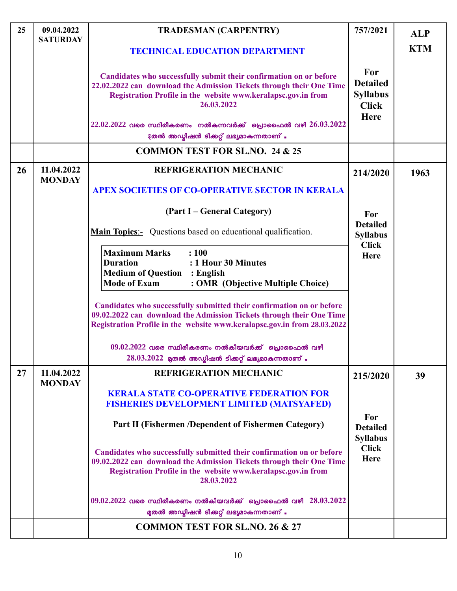| 25 | 09.04.2022<br><b>SATURDAY</b> | <b>TRADESMAN (CARPENTRY)</b>                                                                                                                                                                                                 | 757/2021                                                                 | <b>ALP</b> |
|----|-------------------------------|------------------------------------------------------------------------------------------------------------------------------------------------------------------------------------------------------------------------------|--------------------------------------------------------------------------|------------|
|    |                               | <b>TECHNICAL EDUCATION DEPARTMENT</b>                                                                                                                                                                                        |                                                                          | <b>KTM</b> |
|    |                               | Candidates who successfully submit their confirmation on or before<br>22.02.2022 can download the Admission Tickets through their One Time<br>Registration Profile in the website www.keralapsc.gov.in from<br>26.03.2022    | For<br><b>Detailed</b><br><b>Syllabus</b><br><b>Click</b><br><b>Here</b> |            |
|    |                               | $22.02.2022$ വരെ സ്ഥിരീകരണം നൽകുന്നവർക്ക് പ്രൊഫൈൽ വഴി $26.03.2022$<br>മുതൽ അഡ്മിഷൻ ടിക്കറ്റ് ലഭ്യമാകുന്നതാണ് .                                                                                                               |                                                                          |            |
|    |                               | <b>COMMON TEST FOR SL.NO. 24 &amp; 25</b>                                                                                                                                                                                    |                                                                          |            |
| 26 | 11.04.2022<br><b>MONDAY</b>   | <b>REFRIGERATION MECHANIC</b>                                                                                                                                                                                                | 214/2020                                                                 | 1963       |
|    |                               | <b>APEX SOCIETIES OF CO-OPERATIVE SECTOR IN KERALA</b>                                                                                                                                                                       |                                                                          |            |
|    |                               | (Part I – General Category)                                                                                                                                                                                                  | For                                                                      |            |
|    |                               | <b>Main Topics:-</b> Questions based on educational qualification.                                                                                                                                                           | <b>Detailed</b><br><b>Syllabus</b>                                       |            |
|    |                               | <b>Maximum Marks</b><br>: 100<br>: 1 Hour 30 Minutes<br><b>Duration</b><br><b>Medium of Question : English</b><br><b>Mode of Exam</b><br>: OMR (Objective Multiple Choice)                                                   | <b>Click</b><br><b>Here</b>                                              |            |
|    |                               | Candidates who successfully submitted their confirmation on or before<br>09.02.2022 can download the Admission Tickets through their One Time<br>Registration Profile in the website www.keralapsc.gov.in from 28.03.2022    |                                                                          |            |
|    |                               | $09.02.2022$ വരെ സ്ഥിരീകരണം നൽകിയവർക്ക് പ്രൊഫൈൽ വഴി<br>$28.03.2022$ മുതൽ അഡ്ബിഷൻ ടിക്കറ്റ് ലഭ്യമാകുന്നതാണ് .                                                                                                                 |                                                                          |            |
| 27 | 11.04.2022<br><b>MONDAY</b>   | <b>REFRIGERATION MECHANIC</b>                                                                                                                                                                                                | 215/2020                                                                 | 39         |
|    |                               | <b>KERALA STATE CO-OPERATIVE FEDERATION FOR</b><br><b>FISHERIES DEVELOPMENT LIMITED (MATSYAFED)</b>                                                                                                                          |                                                                          |            |
|    |                               | Part II (Fishermen /Dependent of Fishermen Category)                                                                                                                                                                         | For<br><b>Detailed</b><br><b>Syllabus</b>                                |            |
|    |                               | Candidates who successfully submitted their confirmation on or before<br>09.02.2022 can download the Admission Tickets through their One Time<br>Registration Profile in the website www.keralapsc.gov.in from<br>28.03.2022 | <b>Click</b><br>Here                                                     |            |
|    |                               | $09.02.2022$ വരെ സ്ഥിരീകരണം നൽകിയവർക്ക് പ്രൊഫൈൽ വഴി $28.03.2022$<br>മുതൽ അഡ്മിഷൻ ടിക്കറ്റ് ലഭ്യമാകുന്നതാണ് .                                                                                                                 |                                                                          |            |
|    |                               | <b>COMMON TEST FOR SL.NO. 26 &amp; 27</b>                                                                                                                                                                                    |                                                                          |            |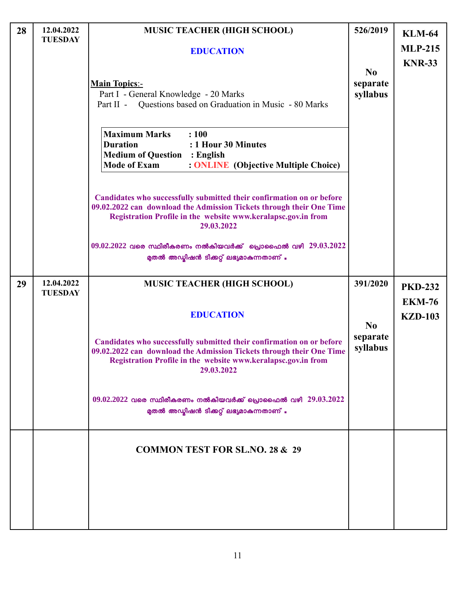| 28 | 12.04.2022<br><b>TUESDAY</b> | <b>MUSIC TEACHER (HIGH SCHOOL)</b>                                                                                                                                                                                                 | 526/2019                   | <b>KLM-64</b>                   |
|----|------------------------------|------------------------------------------------------------------------------------------------------------------------------------------------------------------------------------------------------------------------------------|----------------------------|---------------------------------|
|    |                              | <b>EDUCATION</b>                                                                                                                                                                                                                   |                            | <b>MLP-215</b><br><b>KNR-33</b> |
|    |                              | <b>Main Topics:-</b><br>Part I - General Knowledge - 20 Marks<br>Part II - Questions based on Graduation in Music - 80 Marks                                                                                                       | No<br>separate<br>syllabus |                                 |
|    |                              | <b>Maximum Marks</b><br>: 100<br><b>Duration</b><br>: 1 Hour 30 Minutes<br><b>Medium of Question : English</b><br><b>Mode of Exam</b><br>: <b>ONLINE</b> (Objective Multiple Choice)                                               |                            |                                 |
|    |                              | Candidates who successfully submitted their confirmation on or before<br>09.02.2022 can download the Admission Tickets through their One Time<br>Registration Profile in the website www.keralapsc.gov.in from<br>29.03.2022       |                            |                                 |
|    |                              | $09.02.2022$ വരെ സ്ഥിരീകരണം നൽകിയവർക്ക് പ്രൊഫൈൽ വഴി $29.03.2022$<br>മുതൽ അഡ്മിഷൻ ടിക്കറ്റ് ലഭ്യമാകുന്നതാണ് .                                                                                                                       |                            |                                 |
| 29 | 12.04.2022<br><b>TUESDAY</b> | <b>MUSIC TEACHER (HIGH SCHOOL)</b>                                                                                                                                                                                                 | 391/2020                   | <b>PKD-232</b><br><b>EKM-76</b> |
|    |                              | <b>EDUCATION</b><br>Candidates who successfully submitted their confirmation on or before<br>09.02.2022 can download the Admission Tickets through their One Time<br>Registration Profile in the website www.keralapsc.gov.in from | No<br>separate<br>syllabus | <b>KZD-103</b>                  |
|    |                              | 29.03.2022<br>$09.02.2022$ വരെ സ്ഥിരീകരണം നൽകിയവർക്ക് പ്രൊഫൈൽ വഴി $29.03.2022$<br>മുതൽ അഡ്മിഷൻ ടിക്കറ്റ് ലഭ്യമാകുന്നതാണ് .                                                                                                         |                            |                                 |
|    |                              | <b>COMMON TEST FOR SL.NO. 28 &amp; 29</b>                                                                                                                                                                                          |                            |                                 |
|    |                              |                                                                                                                                                                                                                                    |                            |                                 |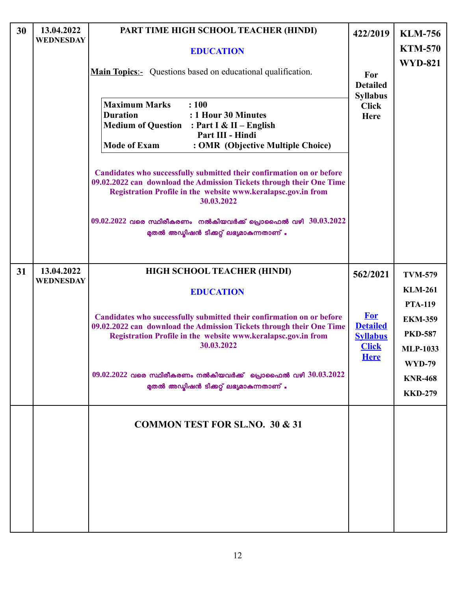| 30 | 13.04.2022<br><b>WEDNESDAY</b> | PART TIME HIGH SCHOOL TEACHER (HINDI)<br><b>EDUCATION</b><br><b>Main Topics:</b> Questions based on educational qualification.<br><b>Maximum Marks</b><br>: 100<br><b>Duration</b><br>: 1 Hour 30 Minutes<br><b>Medium of Question</b><br>: Part I & II – English<br>Part III - Hindi<br><b>Mode of Exam</b><br>: OMR (Objective Multiple Choice)<br>Candidates who successfully submitted their confirmation on or before<br>09.02.2022 can download the Admission Tickets through their One Time<br>Registration Profile in the website www.keralapsc.gov.in from<br>30.03.2022<br>$09.02.2022$ വരെ സ്ഥിരീകരണം നൽകിയവർക്ക് പ്രൊഫൈൽ വഴി $30.03.2022$<br>മുതൽ അഡ്യിഷൻ ടിക്കറ്റ് ലഭ്യമാകുന്നതാണ് . | 422/2019<br>For<br><b>Detailed</b><br><b>Syllabus</b><br><b>Click</b><br>Here               | <b>KLM-756</b><br><b>KTM-570</b><br><b>WYD-821</b>                                                                                                             |
|----|--------------------------------|---------------------------------------------------------------------------------------------------------------------------------------------------------------------------------------------------------------------------------------------------------------------------------------------------------------------------------------------------------------------------------------------------------------------------------------------------------------------------------------------------------------------------------------------------------------------------------------------------------------------------------------------------------------------------------------------------|---------------------------------------------------------------------------------------------|----------------------------------------------------------------------------------------------------------------------------------------------------------------|
| 31 | 13.04.2022<br><b>WEDNESDAY</b> | HIGH SCHOOL TEACHER (HINDI)<br><b>EDUCATION</b><br>Candidates who successfully submitted their confirmation on or before<br>09.02.2022 can download the Admission Tickets through their One Time<br>Registration Profile in the website www.keralapsc.gov.in from<br>30.03.2022<br>$09.02.2022$ വരെ സ്ഥിരീകരണം നൽകിയവർക്ക് പ്രൊഫൈൽ വഴി $30.03.2022$<br>മുതൽ അഡ്യിഷൻ ടിക്കറ്റ് ലഭ്യമാകുന്നതാണ് .                                                                                                                                                                                                                                                                                                   | 562/2021<br><b>For</b><br><b>Detailed</b><br><b>Syllabus</b><br><b>Click</b><br><b>Here</b> | <b>TVM-579</b><br><b>KLM-261</b><br><b>PTA-119</b><br><b>EKM-359</b><br><b>PKD-587</b><br><b>MLP-1033</b><br><b>WYD-79</b><br><b>KNR-468</b><br><b>KKD-279</b> |
|    |                                | <b>COMMON TEST FOR SL.NO. 30 &amp; 31</b>                                                                                                                                                                                                                                                                                                                                                                                                                                                                                                                                                                                                                                                         |                                                                                             |                                                                                                                                                                |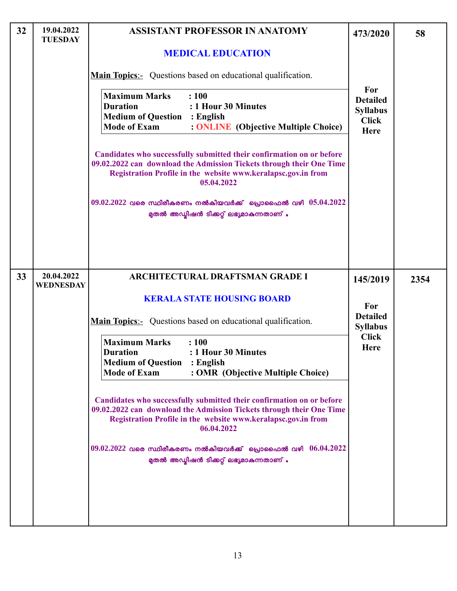| 32 | 19.04.2022<br><b>TUESDAY</b>   | <b>ASSISTANT PROFESSOR IN ANATOMY</b>                                                                                                                                                                                        | 473/2020                                                          | 58   |
|----|--------------------------------|------------------------------------------------------------------------------------------------------------------------------------------------------------------------------------------------------------------------------|-------------------------------------------------------------------|------|
|    |                                | <b>MEDICAL EDUCATION</b>                                                                                                                                                                                                     |                                                                   |      |
|    |                                | <b>Main Topics:-</b> Questions based on educational qualification.                                                                                                                                                           |                                                                   |      |
|    |                                | <b>Maximum Marks</b><br>: 100<br>: 1 Hour 30 Minutes<br><b>Duration</b><br><b>Medium of Question : English</b><br><b>Mode of Exam</b><br>: <b>ONLINE</b> (Objective Multiple Choice)                                         | For<br><b>Detailed</b><br><b>Syllabus</b><br><b>Click</b><br>Here |      |
|    |                                | Candidates who successfully submitted their confirmation on or before<br>09.02.2022 can download the Admission Tickets through their One Time<br>Registration Profile in the website www.keralapsc.gov.in from<br>05.04.2022 |                                                                   |      |
|    |                                | $09.02.2022$ വരെ സ്ഥിരീകരണം നൽകിയവർക്ക് പ്രൊഫൈൽ വഴി $05.04.2022$<br>മുതൽ അഡ്മിഷൻ ടിക്കറ്റ് ലഭ്യമാകുന്നതാണ് .                                                                                                                 |                                                                   |      |
| 33 | 20.04.2022<br><b>WEDNESDAY</b> | <b>ARCHITECTURAL DRAFTSMAN GRADE I</b>                                                                                                                                                                                       | 145/2019                                                          | 2354 |
|    |                                | <b>KERALA STATE HOUSING BOARD</b>                                                                                                                                                                                            | For                                                               |      |
|    |                                | <b>Main Topics:-</b> Questions based on educational qualification.                                                                                                                                                           | <b>Detailed</b><br><b>Syllabus</b>                                |      |
|    |                                | <b>Maximum Marks</b><br>: 100<br>: 1 Hour 30 Minutes<br><b>Duration</b><br><b>Medium of Question</b><br>$:$ English<br><b>Mode of Exam</b><br>: OMR (Objective Multiple Choice)                                              | <b>Click</b><br><b>Here</b>                                       |      |
|    |                                | Candidates who successfully submitted their confirmation on or before<br>09.02.2022 can download the Admission Tickets through their One Time<br>Registration Profile in the website www.keralapsc.gov.in from<br>06.04.2022 |                                                                   |      |
|    |                                | $09.02.2022$ വരെ സ്ഥിരീകരണം നൽകിയവർക്ക് പ്രൊഫൈൽ വഴി $06.04.2022$<br>മുതൽ അഡ്യിഷൻ ടിക്കറ്റ് ലഭ്യമാകുന്നതാണ് .                                                                                                                 |                                                                   |      |
|    |                                |                                                                                                                                                                                                                              |                                                                   |      |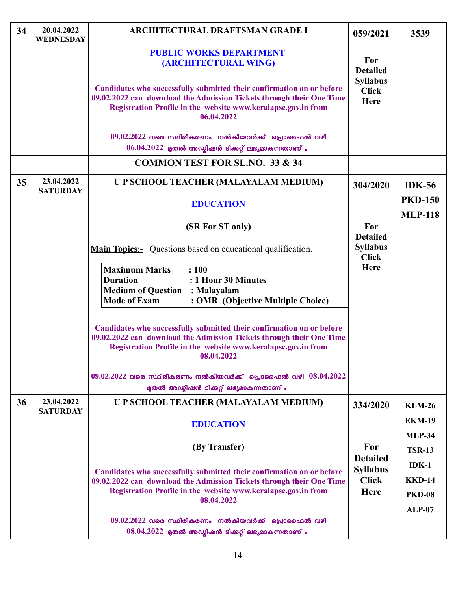| 34 | 20.04.2022<br>WEDNESDAY       | <b>ARCHITECTURAL DRAFTSMAN GRADE I</b>                                                                                                                                                                                       | 059/2021                                       | 3539                             |
|----|-------------------------------|------------------------------------------------------------------------------------------------------------------------------------------------------------------------------------------------------------------------------|------------------------------------------------|----------------------------------|
|    |                               | <b>PUBLIC WORKS DEPARTMENT</b><br>(ARCHITECTURAL WING)                                                                                                                                                                       | For<br><b>Detailed</b>                         |                                  |
|    |                               | Candidates who successfully submitted their confirmation on or before<br>09.02.2022 can download the Admission Tickets through their One Time<br>Registration Profile in the website www.keralapsc.gov.in from<br>06.04.2022 | <b>Syllabus</b><br><b>Click</b><br><b>Here</b> |                                  |
|    |                               | $09.02.2022$ വരെ സ്ഥിരീകരണം നൽകിയവർക്ക് പ്രൊഫൈൽ വഴി                                                                                                                                                                          |                                                |                                  |
|    |                               | $06.04.2022$ മുതൽ അഡ്യിഷൻ ടിക്കറ്റ് ലഭ്യമാകുന്നതാണ് .                                                                                                                                                                        |                                                |                                  |
|    |                               | <b>COMMON TEST FOR SL.NO. 33 &amp; 34</b>                                                                                                                                                                                    |                                                |                                  |
| 35 | 23.04.2022<br><b>SATURDAY</b> | U P SCHOOL TEACHER (MALAYALAM MEDIUM)                                                                                                                                                                                        | 304/2020                                       | <b>IDK-56</b>                    |
|    |                               | <b>EDUCATION</b>                                                                                                                                                                                                             |                                                | <b>PKD-150</b><br><b>MLP-118</b> |
|    |                               | (SR For ST only)                                                                                                                                                                                                             | For<br><b>Detailed</b>                         |                                  |
|    |                               | <b>Main Topics:-</b> Questions based on educational qualification.                                                                                                                                                           | <b>Syllabus</b><br><b>Click</b>                |                                  |
|    |                               | <b>Maximum Marks</b><br>: 100<br>: 1 Hour 30 Minutes<br><b>Duration</b><br><b>Medium of Question</b><br>: Malayalam<br><b>Mode of Exam</b><br>: OMR (Objective Multiple Choice)                                              | <b>Here</b>                                    |                                  |
|    |                               | Candidates who successfully submitted their confirmation on or before<br>09.02.2022 can download the Admission Tickets through their One Time<br>Registration Profile in the website www.keralapsc.gov.in from<br>08.04.2022 |                                                |                                  |
|    |                               | $09.02.2022$ വരെ സ്ഥിരീകരണം നൽകിയവർക്ക് പ്രൊഫൈൽ വഴി $08.04.2022$<br>മുതൽ അഡ്മിഷൻ ടിക്കറ്റ് ലഭ്യമാകുന്നതാണ് .                                                                                                                 |                                                |                                  |
| 36 | 23.04.2022<br><b>SATURDAY</b> | U P SCHOOL TEACHER (MALAYALAM MEDIUM)                                                                                                                                                                                        | 334/2020                                       | <b>KLM-26</b>                    |
|    |                               | <b>EDUCATION</b>                                                                                                                                                                                                             |                                                | <b>EKM-19</b>                    |
|    |                               |                                                                                                                                                                                                                              |                                                | <b>MLP-34</b>                    |
|    |                               | (By Transfer)                                                                                                                                                                                                                | For                                            | <b>TSR-13</b>                    |
|    |                               |                                                                                                                                                                                                                              | <b>Detailed</b><br><b>Syllabus</b>             | $IDK-1$                          |
|    |                               | Candidates who successfully submitted their confirmation on or before<br>09.02.2022 can download the Admission Tickets through their One Time                                                                                | <b>Click</b>                                   | <b>KKD-14</b>                    |
|    |                               | Registration Profile in the website www.keralapsc.gov.in from<br>08.04.2022                                                                                                                                                  | <b>Here</b>                                    | <b>PKD-08</b>                    |
|    |                               |                                                                                                                                                                                                                              |                                                | <b>ALP-07</b>                    |
|    |                               | $09.02.2022$ വരെ സ്ഥിരീകരണം നൽകിയവർക്ക് പ്രൊഫൈൽ വഴി<br>$08.04.2022$ മുതൽ അഡ്യിഷൻ ടിക്കറ്റ് ലഭ്യമാകുന്നതാണ് .                                                                                                                 |                                                |                                  |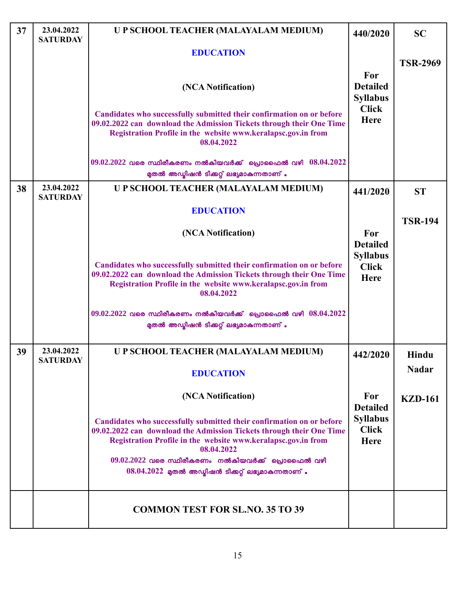| 37 | 23.04.2022<br><b>SATURDAY</b> | U P SCHOOL TEACHER (MALAYALAM MEDIUM)                                                                                                                                                                                                                                                                                                        | 440/2020                                       | <b>SC</b>       |
|----|-------------------------------|----------------------------------------------------------------------------------------------------------------------------------------------------------------------------------------------------------------------------------------------------------------------------------------------------------------------------------------------|------------------------------------------------|-----------------|
|    |                               | <b>EDUCATION</b>                                                                                                                                                                                                                                                                                                                             |                                                | <b>TSR-2969</b> |
|    |                               | (NCA Notification)                                                                                                                                                                                                                                                                                                                           | For<br><b>Detailed</b><br><b>Syllabus</b>      |                 |
|    |                               | Candidates who successfully submitted their confirmation on or before<br>09.02.2022 can download the Admission Tickets through their One Time<br>Registration Profile in the website www.keralapsc.gov.in from<br>08.04.2022                                                                                                                 | <b>Click</b><br><b>Here</b>                    |                 |
|    |                               | $09.02.2022$ വരെ സ്ഥിരീകരണം നൽകിയവർക്ക് പ്രൊഫൈൽ വഴി $08.04.2022$<br>മുതൽ അഡ്മിഷൻ ടിക്കറ്റ് ലഭ്യമാകുന്നതാണ് .                                                                                                                                                                                                                                 |                                                |                 |
| 38 | 23.04.2022<br><b>SATURDAY</b> | U P SCHOOL TEACHER (MALAYALAM MEDIUM)                                                                                                                                                                                                                                                                                                        | 441/2020                                       | <b>ST</b>       |
|    |                               | <b>EDUCATION</b>                                                                                                                                                                                                                                                                                                                             |                                                | <b>TSR-194</b>  |
|    |                               | (NCA Notification)                                                                                                                                                                                                                                                                                                                           | For<br><b>Detailed</b>                         |                 |
|    |                               | Candidates who successfully submitted their confirmation on or before<br>09.02.2022 can download the Admission Tickets through their One Time<br>Registration Profile in the website www.keralapsc.gov.in from<br>08.04.2022                                                                                                                 | <b>Syllabus</b><br><b>Click</b><br><b>Here</b> |                 |
|    |                               | $09.02.2022$ വരെ സ്ഥിരീകരണം നൽകിയവർക്ക് പ്രൊഫൈൽ വഴി $08.04.2022$<br>മുതൽ അഡ്മിഷൻ ടിക്കറ്റ് ലഭ്യമാകുന്നതാണ് .                                                                                                                                                                                                                                 |                                                |                 |
| 39 | 23.04.2022<br><b>SATURDAY</b> | U P SCHOOL TEACHER (MALAYALAM MEDIUM)                                                                                                                                                                                                                                                                                                        | 442/2020                                       | Hindu           |
|    |                               | <b>EDUCATION</b>                                                                                                                                                                                                                                                                                                                             |                                                | <b>Nadar</b>    |
|    |                               | (NCA Notification)                                                                                                                                                                                                                                                                                                                           | For<br><b>Detailed</b>                         | <b>KZD-161</b>  |
|    |                               | Candidates who successfully submitted their confirmation on or before<br>09.02.2022 can download the Admission Tickets through their One Time<br>Registration Profile in the website www.keralapsc.gov.in from<br>08.04.2022<br>$09.02.2022$ വരെ സ്ഥിരീകരണം നൽകിയവർക്ക് പ്രൊഫൈൽ വഴി<br>$08.04.2022$ മുതൽ അഡ്യിഷൻ ടിക്കറ്റ് ലഭ്യമാകുന്നതാണ് . | <b>Syllabus</b><br><b>Click</b><br><b>Here</b> |                 |
|    |                               | <b>COMMON TEST FOR SL.NO. 35 TO 39</b>                                                                                                                                                                                                                                                                                                       |                                                |                 |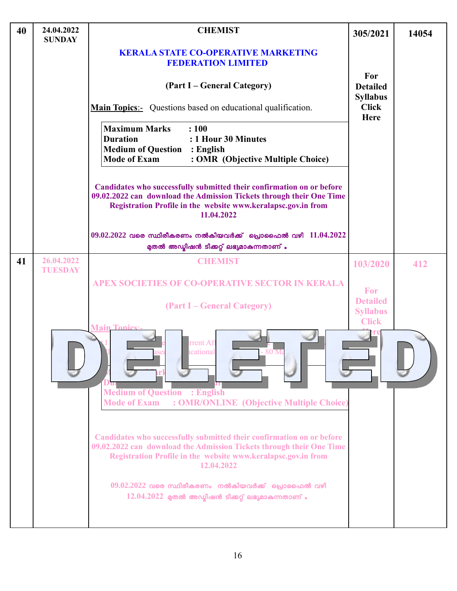| 40 | 24.04.2022<br><b>SUNDAY</b>  | <b>CHEMIST</b>                                                                                                                                                                                                               | 305/2021                                           | 14054 |
|----|------------------------------|------------------------------------------------------------------------------------------------------------------------------------------------------------------------------------------------------------------------------|----------------------------------------------------|-------|
|    |                              | <b>KERALA STATE CO-OPERATIVE MARKETING</b><br><b>FEDERATION LIMITED</b>                                                                                                                                                      |                                                    |       |
|    |                              | (Part I – General Category)                                                                                                                                                                                                  | For<br><b>Detailed</b><br><b>Syllabus</b>          |       |
|    |                              | <b>Main Topics</b> : Questions based on educational qualification.                                                                                                                                                           | <b>Click</b><br>Here                               |       |
|    |                              | <b>Maximum Marks</b><br>: 100<br>: 1 Hour 30 Minutes<br><b>Duration</b><br><b>Medium of Question</b><br>: English<br><b>Mode of Exam</b><br>: OMR (Objective Multiple Choice)                                                |                                                    |       |
|    |                              | Candidates who successfully submitted their confirmation on or before<br>09.02.2022 can download the Admission Tickets through their One Time<br>Registration Profile in the website www.keralapsc.gov.in from<br>11.04.2022 |                                                    |       |
|    |                              | $09.02.2022$ വരെ സ്ഥിരീകരണം നൽകിയവർക്ക് പ്രൊഫൈൽ വഴി $11.04.2022$<br>മുതൽ അഡ്യിഷൻ ടിക്കറ്റ് ലഭ്യമാകുന്നതാണ് .                                                                                                                 |                                                    |       |
| 41 | 26.04.2022<br><b>TUESDAY</b> | <b>CHEMIST</b>                                                                                                                                                                                                               | 103/2020                                           | 412   |
|    |                              | <b>APEX SOCIETIES OF CO-OPERATIVE SECTOR IN KERALA</b>                                                                                                                                                                       | For                                                |       |
|    |                              | (Part I – General Category)                                                                                                                                                                                                  | <b>Detailed</b><br><b>Syllabus</b><br><b>Click</b> |       |
|    |                              | <b>Main Tonics</b><br>rrent Af<br>icational<br>- 80 Ma<br><b>Medium of Question : English</b><br><b>Mode of Exam</b><br>: OMR/ONLINE (Objective Multiple Choice)                                                             |                                                    |       |
|    |                              | Candidates who successfully submitted their confirmation on or before<br>09.02.2022 can download the Admission Tickets through their One Time<br>Registration Profile in the website www.keralapsc.gov.in from<br>12.04.2022 |                                                    |       |
|    |                              | $09.02.2022$ വരെ സ്ഥിരീകരണം നൽകിയവർക്ക് പ്രൊഫൈൽ വഴി<br>$12.04.2022$ മുതൽ അഡ്യിഷൻ ടിക്കറ്റ് ലഭ്യമാകുന്നതാണ് .                                                                                                                 |                                                    |       |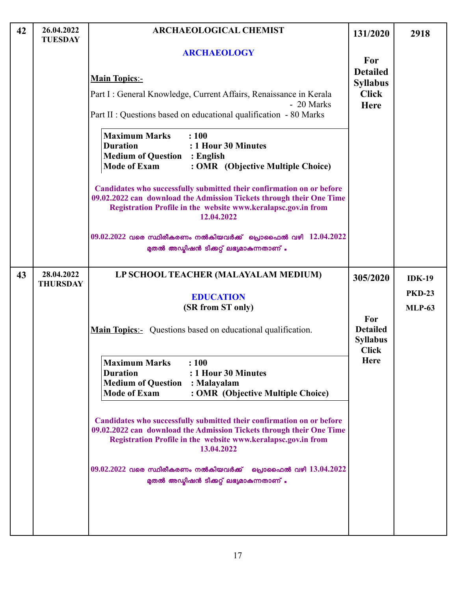| 42 | 26.04.2022<br><b>TUESDAY</b>  | <b>ARCHAEOLOGICAL CHEMIST</b>                                                                                                                                                                                                | 131/2020                                  | 2918          |
|----|-------------------------------|------------------------------------------------------------------------------------------------------------------------------------------------------------------------------------------------------------------------------|-------------------------------------------|---------------|
|    |                               | <b>ARCHAEOLOGY</b>                                                                                                                                                                                                           | For                                       |               |
|    |                               | <b>Main Topics:-</b>                                                                                                                                                                                                         | <b>Detailed</b><br><b>Syllabus</b>        |               |
|    |                               | Part I : General Knowledge, Current Affairs, Renaissance in Kerala                                                                                                                                                           | <b>Click</b>                              |               |
|    |                               | - 20 Marks<br>Part II : Questions based on educational qualification - 80 Marks                                                                                                                                              | Here                                      |               |
|    |                               | <b>Maximum Marks</b><br>: 100<br><b>Duration</b><br>: 1 Hour 30 Minutes<br><b>Medium of Question : English</b><br><b>Mode of Exam</b><br>: OMR (Objective Multiple Choice)                                                   |                                           |               |
|    |                               | Candidates who successfully submitted their confirmation on or before<br>09.02.2022 can download the Admission Tickets through their One Time<br>Registration Profile in the website www.keralapsc.gov.in from<br>12.04.2022 |                                           |               |
|    |                               | $09.02.2022$ വരെ സ്ഥിരീകരണം നൽകിയവർക്ക് പ്രൊഫൈൽ വഴി $12.04.2022$<br>മുതൽ അഡ്യിഷൻ ടിക്കറ്റ് ലഭ്യമാകുന്നതാണ് .                                                                                                                 |                                           |               |
| 43 | 28.04.2022<br><b>THURSDAY</b> | LP SCHOOL TEACHER (MALAYALAM MEDIUM)                                                                                                                                                                                         | 305/2020                                  | $IDK-19$      |
|    |                               | <b>EDUCATION</b>                                                                                                                                                                                                             |                                           | <b>PKD-23</b> |
|    |                               | (SR from ST only)<br><b>Main Topics</b> :- Questions based on educational qualification.                                                                                                                                     | For<br><b>Detailed</b><br><b>Syllabus</b> | <b>MLP-63</b> |
|    |                               | <b>Maximum Marks</b><br>: 100<br><b>Duration</b><br>: 1 Hour 30 Minutes<br><b>Medium of Question : Malayalam</b><br><b>Mode of Exam</b><br>: OMR (Objective Multiple Choice)                                                 | <b>Click</b><br><b>Here</b>               |               |
|    |                               | Candidates who successfully submitted their confirmation on or before<br>09.02.2022 can download the Admission Tickets through their One Time<br>Registration Profile in the website www.keralapsc.gov.in from<br>13.04.2022 |                                           |               |
|    |                               | $09.02.2022$ വരെ സ്ഥിരീകരണം നൽകിയവർക്ക് ധ്രൊഫൈൽ വഴി $13.04.2022$<br>മുതൽ അഡ്യിഷൻ ടിക്കറ്റ് ലഭ്യമാകുന്നതാണ് .                                                                                                                 |                                           |               |
|    |                               |                                                                                                                                                                                                                              |                                           |               |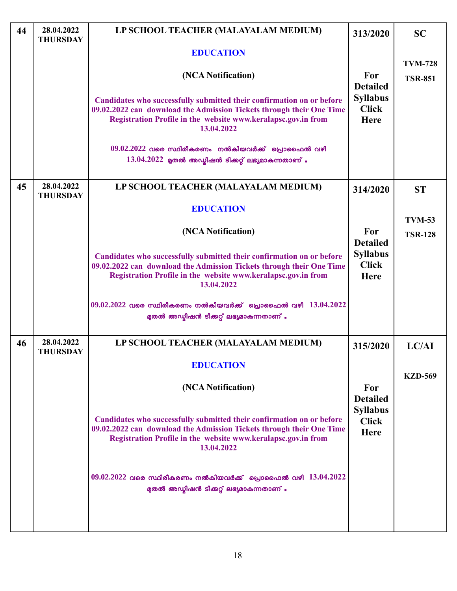| 44 | 28.04.2022<br><b>THURSDAY</b> | LP SCHOOL TEACHER (MALAYALAM MEDIUM)                                                                                                                                                                                         | 313/2020                                | <b>SC</b>      |
|----|-------------------------------|------------------------------------------------------------------------------------------------------------------------------------------------------------------------------------------------------------------------------|-----------------------------------------|----------------|
|    |                               | <b>EDUCATION</b>                                                                                                                                                                                                             |                                         | <b>TVM-728</b> |
|    |                               | (NCA Notification)                                                                                                                                                                                                           | For<br><b>Detailed</b>                  | <b>TSR-851</b> |
|    |                               | Candidates who successfully submitted their confirmation on or before<br>09.02.2022 can download the Admission Tickets through their One Time<br>Registration Profile in the website www.keralapsc.gov.in from<br>13.04.2022 | <b>Syllabus</b><br><b>Click</b><br>Here |                |
|    |                               | $09.02.2022$ വരെ സ്ഥിരീകരണം നൽകിയവർക്ക് പ്രൊഫൈൽ വഴി                                                                                                                                                                          |                                         |                |
|    |                               | $13.04.2022$ മുതൽ അഡ്യിഷൻ ടിക്കറ്റ് ലഭ്യമാകുന്നതാണ് .                                                                                                                                                                        |                                         |                |
| 45 | 28.04.2022<br><b>THURSDAY</b> | LP SCHOOL TEACHER (MALAYALAM MEDIUM)                                                                                                                                                                                         | 314/2020                                | <b>ST</b>      |
|    |                               | <b>EDUCATION</b>                                                                                                                                                                                                             |                                         |                |
|    |                               | (NCA Notification)                                                                                                                                                                                                           | For                                     | <b>TVM-53</b>  |
|    |                               |                                                                                                                                                                                                                              | <b>Detailed</b>                         | <b>TSR-128</b> |
|    |                               | Candidates who successfully submitted their confirmation on or before<br>09.02.2022 can download the Admission Tickets through their One Time<br>Registration Profile in the website www.keralapsc.gov.in from<br>13.04.2022 | <b>Syllabus</b><br><b>Click</b><br>Here |                |
|    |                               | $09.02.2022$ വരെ സ്ഥിരീകരണം നൽകിയവർക്ക് പ്രൊഫൈൽ വഴി $13.04.2022$<br>മുതൽ അഡ്മിഷൻ ടിക്കറ്റ് ലഭ്യമാകുന്നതാണ് .                                                                                                                 |                                         |                |
| 46 | 28.04.2022<br><b>THURSDAY</b> | LP SCHOOL TEACHER (MALAYALAM MEDIUM)                                                                                                                                                                                         | 315/2020                                | LC/AI          |
|    |                               | <b>EDUCATION</b>                                                                                                                                                                                                             |                                         |                |
|    |                               | (NCA Notification)                                                                                                                                                                                                           | For<br><b>Detailed</b>                  | <b>KZD-569</b> |
|    |                               | Candidates who successfully submitted their confirmation on or before<br>09.02.2022 can download the Admission Tickets through their One Time<br>Registration Profile in the website www.keralapsc.gov.in from<br>13.04.2022 | <b>Syllabus</b><br><b>Click</b><br>Here |                |
|    |                               | $09.02.2022$ വരെ സ്ഥിരീകരണം നൽകിയവർക്ക് പ്രൊഫൈൽ വഴി $13.04.2022$<br>മുതൽ അഡ്യിഷൻ ടിക്കറ്റ് ലഭ്യമാകുന്നതാണ് .                                                                                                                 |                                         |                |
|    |                               |                                                                                                                                                                                                                              |                                         |                |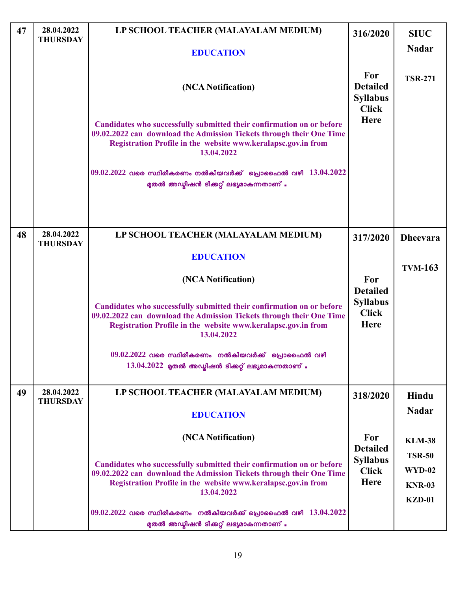| 47 | 28.04.2022<br><b>THURSDAY</b> | LP SCHOOL TEACHER (MALAYALAM MEDIUM)                                                                                                                                                                                         | 316/2020                                                   | <b>SIUC</b>     |
|----|-------------------------------|------------------------------------------------------------------------------------------------------------------------------------------------------------------------------------------------------------------------------|------------------------------------------------------------|-----------------|
|    |                               | <b>EDUCATION</b>                                                                                                                                                                                                             |                                                            | <b>Nadar</b>    |
|    |                               | (NCA Notification)                                                                                                                                                                                                           | For<br><b>Detailed</b><br><b>Syllabus</b><br><b>Click</b>  | <b>TSR-271</b>  |
|    |                               | Candidates who successfully submitted their confirmation on or before<br>09.02.2022 can download the Admission Tickets through their One Time<br>Registration Profile in the website www.keralapsc.gov.in from<br>13.04.2022 | <b>Here</b>                                                |                 |
|    |                               | $09.02.2022$ വരെ സ്ഥിരീകരണം നൽകിയവർക്ക് പ്രൊഫൈൽ വഴി $13.04.2022$<br>മുതൽ അഡ്മിഷൻ ടിക്കറ്റ് ലഭ്യമാകുന്നതാണ് .                                                                                                                 |                                                            |                 |
|    |                               |                                                                                                                                                                                                                              |                                                            |                 |
| 48 | 28.04.2022<br><b>THURSDAY</b> | LP SCHOOL TEACHER (MALAYALAM MEDIUM)                                                                                                                                                                                         | 317/2020                                                   | <b>Dheevara</b> |
|    |                               | <b>EDUCATION</b>                                                                                                                                                                                                             |                                                            |                 |
|    |                               | (NCA Notification)                                                                                                                                                                                                           | For                                                        | <b>TVM-163</b>  |
|    |                               | Candidates who successfully submitted their confirmation on or before<br>09.02.2022 can download the Admission Tickets through their One Time<br>Registration Profile in the website www.keralapsc.gov.in from<br>13.04.2022 | <b>Detailed</b><br><b>Syllabus</b><br><b>Click</b><br>Here |                 |
|    |                               | $09.02.2022$ വരെ സ്ഥിരീകരണം നൽകിയവർക്ക് പൊഫൈൽ വഴി<br>$13.04.2022$ മുതൽ അഡ്യിഷൻ ടിക്കറ്റ് ലഭ്യമാകുന്നതാണ് .                                                                                                                   |                                                            |                 |
| 49 | 28.04.2022                    | LP SCHOOL TEACHER (MALAYALAM MEDIUM)                                                                                                                                                                                         | 318/2020                                                   | Hindu           |
|    | <b>THURSDAY</b>               | <b>EDUCATION</b>                                                                                                                                                                                                             |                                                            | <b>Nadar</b>    |
|    |                               | (NCA Notification)                                                                                                                                                                                                           | For                                                        | <b>KLM-38</b>   |
|    |                               |                                                                                                                                                                                                                              | <b>Detailed</b><br><b>Syllabus</b>                         | <b>TSR-50</b>   |
|    |                               | Candidates who successfully submitted their confirmation on or before<br>09.02.2022 can download the Admission Tickets through their One Time                                                                                | <b>Click</b>                                               | WYD-02          |
|    |                               | Registration Profile in the website www.keralapsc.gov.in from<br>13.04.2022                                                                                                                                                  | <b>Here</b>                                                | <b>KNR-03</b>   |
|    |                               | $09.02.2022$ വരെ സ്ഥിരീകരണം നൽകിയവർക്ക് പ്രൊഫൈൽ വഴി $13.04.2022$<br>മുതൽ അഡ്യിഷൻ ടിക്കറ്റ് ലഭ്യമാകുന്നതാണ് .                                                                                                                 |                                                            | $KZD-01$        |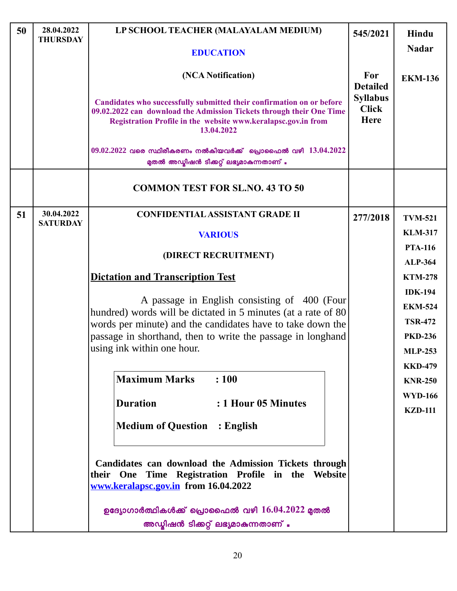| 50 | 28.04.2022<br><b>THURSDAY</b> | LP SCHOOL TEACHER (MALAYALAM MEDIUM)                                                                                                                                                                                         | 545/2021                                | Hindu                            |
|----|-------------------------------|------------------------------------------------------------------------------------------------------------------------------------------------------------------------------------------------------------------------------|-----------------------------------------|----------------------------------|
|    |                               | <b>EDUCATION</b>                                                                                                                                                                                                             |                                         | <b>Nadar</b>                     |
|    |                               | (NCA Notification)                                                                                                                                                                                                           | For<br><b>Detailed</b>                  | <b>EKM-136</b>                   |
|    |                               | Candidates who successfully submitted their confirmation on or before<br>09.02.2022 can download the Admission Tickets through their One Time<br>Registration Profile in the website www.keralapsc.gov.in from<br>13.04.2022 | <b>Syllabus</b><br><b>Click</b><br>Here |                                  |
|    |                               | $09.02.2022$ വരെ സ്ഥിരീകരണം നൽകിയവർക്ക് പ്രൊഫൈൽ വഴി $13.04.2022$<br>മുതൽ അഡ്മിഷൻ ടിക്കറ്റ് ലഭ്യമാകുന്നതാണ് .                                                                                                                 |                                         |                                  |
|    |                               | <b>COMMON TEST FOR SL.NO. 43 TO 50</b>                                                                                                                                                                                       |                                         |                                  |
| 51 | 30.04.2022<br><b>SATURDAY</b> | <b>CONFIDENTIAL ASSISTANT GRADE II</b>                                                                                                                                                                                       | 277/2018                                | <b>TVM-521</b>                   |
|    |                               | <b>VARIOUS</b>                                                                                                                                                                                                               |                                         | <b>KLM-317</b>                   |
|    |                               | (DIRECT RECRUITMENT)                                                                                                                                                                                                         |                                         | <b>PTA-116</b>                   |
|    |                               |                                                                                                                                                                                                                              |                                         | <b>ALP-364</b>                   |
|    |                               | <b>Dictation and Transcription Test</b>                                                                                                                                                                                      |                                         | <b>KTM-278</b>                   |
|    |                               | A passage in English consisting of 400 (Four                                                                                                                                                                                 |                                         | <b>IDK-194</b>                   |
|    |                               | hundred) words will be dictated in 5 minutes (at a rate of 80                                                                                                                                                                |                                         | <b>EKM-524</b><br><b>TSR-472</b> |
|    |                               | words per minute) and the candidates have to take down the<br>passage in shorthand, then to write the passage in longhand                                                                                                    |                                         | <b>PKD-236</b>                   |
|    |                               | using ink within one hour.                                                                                                                                                                                                   |                                         | <b>MLP-253</b>                   |
|    |                               |                                                                                                                                                                                                                              |                                         | <b>KKD-479</b>                   |
|    |                               | <b>Maximum Marks</b><br>: 100                                                                                                                                                                                                |                                         | <b>KNR-250</b>                   |
|    |                               |                                                                                                                                                                                                                              |                                         | <b>WYD-166</b>                   |
|    |                               | <b>Duration</b><br>: 1 Hour 05 Minutes                                                                                                                                                                                       |                                         | <b>KZD-111</b>                   |
|    |                               | <b>Medium of Question : English</b>                                                                                                                                                                                          |                                         |                                  |
|    |                               | Candidates can download the Admission Tickets through<br>their One Time Registration Profile in the Website<br>www.keralapsc.gov.in from 16.04.2022                                                                          |                                         |                                  |
|    |                               | ഉദ്യോഗാർത്ഥികൾക്ക് പ്രൊഫൈൽ വഴി $16.04.2022$ മുതൽ<br>അഡ്യിഷൻ ടിക്കറ്റ് ലഭ്യമാകുന്നതാണ് .                                                                                                                                      |                                         |                                  |
|    |                               |                                                                                                                                                                                                                              |                                         |                                  |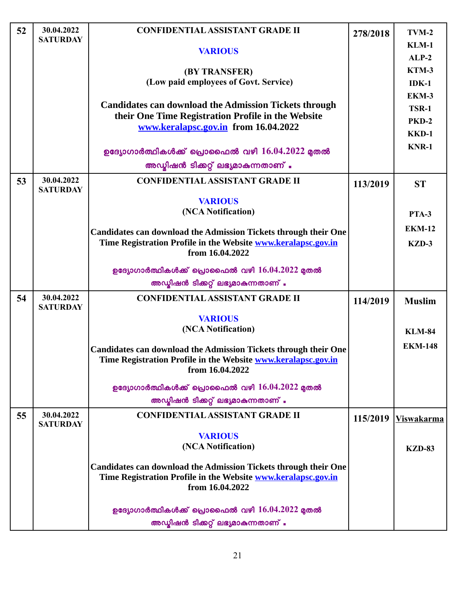| 52 | 30.04.2022<br><b>SATURDAY</b> | <b>CONFIDENTIAL ASSISTANT GRADE II</b>                                 | 278/2018 | $TVM-2$           |
|----|-------------------------------|------------------------------------------------------------------------|----------|-------------------|
|    |                               | <b>VARIOUS</b>                                                         |          | $KLM-1$           |
|    |                               |                                                                        |          | $ALP-2$           |
|    |                               | (BY TRANSFER)<br>(Low paid employees of Govt. Service)                 |          | KTM-3             |
|    |                               |                                                                        |          | $IDK-1$           |
|    |                               | <b>Candidates can download the Admission Tickets through</b>           |          | EKM-3             |
|    |                               | their One Time Registration Profile in the Website                     |          | <b>TSR-1</b>      |
|    |                               | www.keralapsc.gov.in from 16.04.2022                                   |          | <b>PKD-2</b>      |
|    |                               |                                                                        |          | KKD-1             |
|    |                               | ഉദ്യോഗാർത്ഥികൾക്ക് പ്രൊഫൈൽ വഴി $16.04.2022$ മുതൽ                       |          | <b>KNR-1</b>      |
|    |                               | അഡ്യിഷൻ ടിക്കറ്റ് ലഭ്യമാകുന്നതാണ് .                                    |          |                   |
| 53 | 30.04.2022<br><b>SATURDAY</b> | <b>CONFIDENTIAL ASSISTANT GRADE II</b>                                 | 113/2019 | <b>ST</b>         |
|    |                               | <b>VARIOUS</b>                                                         |          |                   |
|    |                               | (NCA Notification)                                                     |          | <b>PTA-3</b>      |
|    |                               | <b>Candidates can download the Admission Tickets through their One</b> |          | <b>EKM-12</b>     |
|    |                               | Time Registration Profile in the Website www.keralapsc.gov.in          |          | KZD-3             |
|    |                               | from 16.04.2022                                                        |          |                   |
|    |                               | ഉദ്യോഗാർത്ഥികൾക്ക് പ്രൊഫൈൽ വഴി $16.04.2022$ മുതൽ                       |          |                   |
|    |                               | അഡ്യിഷൻ ടിക്കറ്റ് ലഭ്യമാകുന്നതാണ് .                                    |          |                   |
| 54 | 30.04.2022<br><b>SATURDAY</b> | <b>CONFIDENTIAL ASSISTANT GRADE II</b>                                 | 114/2019 | <b>Muslim</b>     |
|    |                               | <b>VARIOUS</b>                                                         |          |                   |
|    |                               | (NCA Notification)                                                     |          | <b>KLM-84</b>     |
|    |                               | <b>Candidates can download the Admission Tickets through their One</b> |          | <b>EKM-148</b>    |
|    |                               | Time Registration Profile in the Website www.keralapsc.gov.in          |          |                   |
|    |                               | from 16.04.2022                                                        |          |                   |
|    |                               | ഉദ്യോഗാർത്ഥികൾക്ക് പ്രൊഫൈൽ വഴി $16.04.2022$ മുതൽ                       |          |                   |
|    |                               | അഡ്യിഷൻ ടിക്കറ്റ് ലഭ്യമാകുന്നതാണ് .                                    |          |                   |
| 55 | 30.04.2022<br><b>SATURDAY</b> | <b>CONFIDENTIAL ASSISTANT GRADE II</b>                                 | 115/2019 | <b>Viswakarma</b> |
|    |                               | <b>VARIOUS</b>                                                         |          |                   |
|    |                               | (NCA Notification)                                                     |          | <b>KZD-83</b>     |
|    |                               | <b>Candidates can download the Admission Tickets through their One</b> |          |                   |
|    |                               | Time Registration Profile in the Website www.keralapsc.gov.in          |          |                   |
|    |                               | from 16.04.2022                                                        |          |                   |
|    |                               | ഉദ്യോഗാർത്ഥികൾക്ക് പ്രൊഫൈൽ വഴി $16.04.2022$ മുതൽ                       |          |                   |
|    |                               | അഡ്യിഷൻ ടിക്കറ്റ് ലഭ്യമാകുന്നതാണ് .                                    |          |                   |
|    |                               |                                                                        |          |                   |